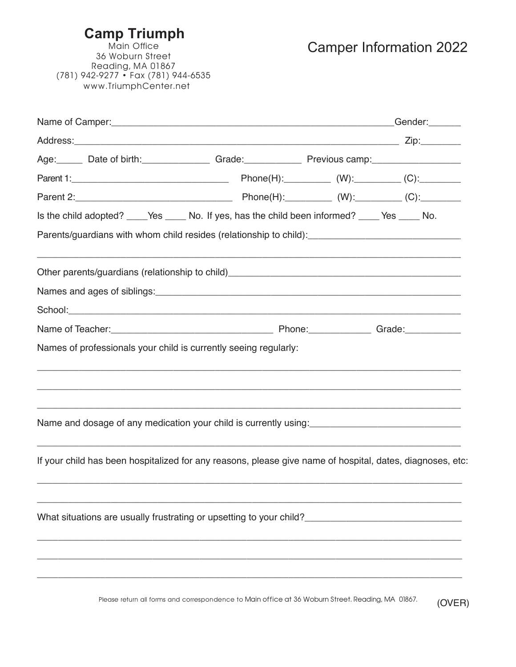## **Camp Triumph**

Camper Information 2022

Main Office 36 Woburn Street Reading, MA 01867 (781) 942-9277 • Fax (781) 944-6535 www.TriumphCenter.net

| Age: Date of birth: Grade: Grade: Previous camp: Date of Date of birth:                                                              |  |  |
|--------------------------------------------------------------------------------------------------------------------------------------|--|--|
|                                                                                                                                      |  |  |
|                                                                                                                                      |  |  |
| Is the child adopted? _____Yes _______ No. If yes, has the child been informed? _____ Yes ______ No.                                 |  |  |
|                                                                                                                                      |  |  |
|                                                                                                                                      |  |  |
|                                                                                                                                      |  |  |
|                                                                                                                                      |  |  |
|                                                                                                                                      |  |  |
| Names of professionals your child is currently seeing regularly:                                                                     |  |  |
|                                                                                                                                      |  |  |
|                                                                                                                                      |  |  |
| Name and dosage of any medication your child is currently using:<br>Name and dosage of any medication your child is currently using: |  |  |
| If your child has been hospitalized for any reasons, please give name of hospital, dates, diagnoses, etc:                            |  |  |
|                                                                                                                                      |  |  |
| What situations are usually frustrating or upsetting to your child?                                                                  |  |  |
|                                                                                                                                      |  |  |
|                                                                                                                                      |  |  |
|                                                                                                                                      |  |  |

Please return all forms and correspondence to Main office at 36 Woburn Street. Reading, MA 01867. (OVER)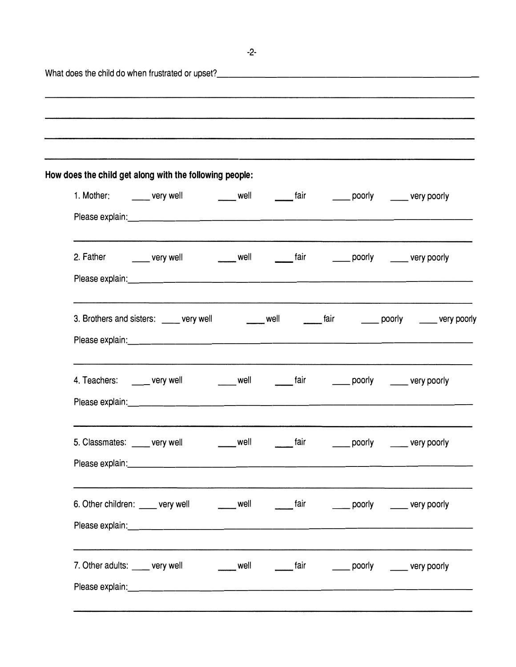| How does the child get along with the following people:                                          |  |  |                                                                                                      |
|--------------------------------------------------------------------------------------------------|--|--|------------------------------------------------------------------------------------------------------|
| 1. Mother: _______ very well ________ well ________ fair ________ poorly ______ very poorly      |  |  |                                                                                                      |
|                                                                                                  |  |  |                                                                                                      |
| 2. Father ________ very well _________ well _________ fair ________ poorly ______ very poorly    |  |  |                                                                                                      |
|                                                                                                  |  |  |                                                                                                      |
|                                                                                                  |  |  | 3. Brothers and sisters: _____ very well _______ well ________ fair _______ poorly _____ very poorly |
|                                                                                                  |  |  |                                                                                                      |
| 4. Teachers: _____ very well _______ well _______ fair _______ poorly _____ very poorly          |  |  |                                                                                                      |
|                                                                                                  |  |  |                                                                                                      |
| 5. Classmates: very well well well fair                                                          |  |  | poorly ______ very poorly                                                                            |
|                                                                                                  |  |  |                                                                                                      |
| 6. Other children: _____ very well _______ well ________ fair ________ poorly ______ very poorly |  |  |                                                                                                      |
|                                                                                                  |  |  |                                                                                                      |
| 7. Other adults: ____ very well _______ well _______ fair _______ poorly _____ very poorly       |  |  |                                                                                                      |
|                                                                                                  |  |  |                                                                                                      |

-2-

L